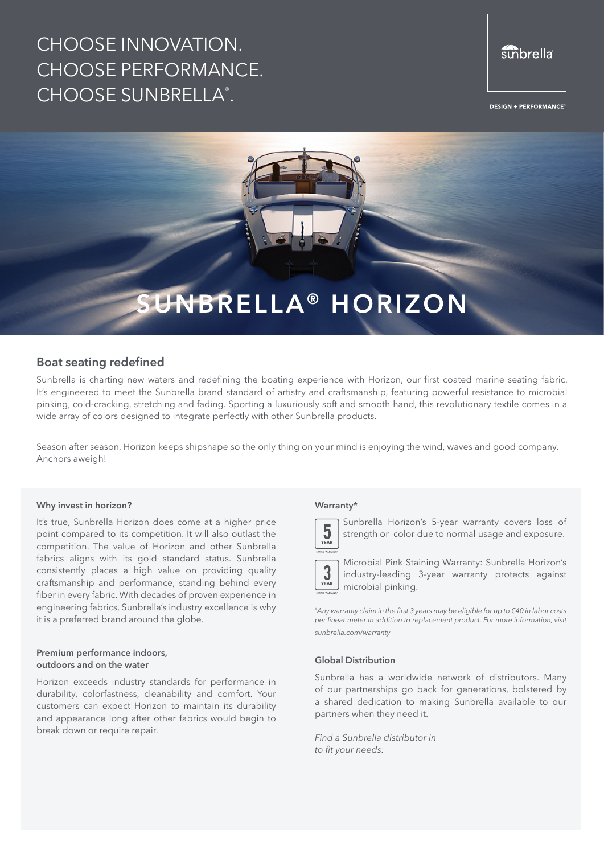# CHOOSE INNOVATION. CHOOSE PERFORMANCE. CHOOSE SUNBRELLA®.

## sunbrella

**DESIGN + PERFORMANCE** 



## **Boat seating redefined**

Sunbrella is charting new waters and redefining the boating experience with Horizon, our first coated marine seating fabric. It's engineered to meet the Sunbrella brand standard of artistry and craftsmanship, featuring powerful resistance to microbial pinking, cold-cracking, stretching and fading. Sporting a luxuriously soft and smooth hand, this revolutionary textile comes in a wide array of colors designed to integrate perfectly with other Sunbrella products.

Season after season, Horizon keeps shipshape so the only thing on your mind is enjoying the wind, waves and good company. Anchors aweigh!

#### **Why invest in horizon?**

It's true, Sunbrella Horizon does come at a higher price point compared to its competition. It will also outlast the competition. The value of Horizon and other Sunbrella fabrics aligns with its gold standard status. Sunbrella consistently places a high value on providing quality craftsmanship and performance, standing behind every fiber in every fabric. With decades of proven experience in engineering fabrics, Sunbrella's industry excellence is why it is a preferred brand around the globe.

#### **Premium performance indoors, outdoors and on the water**

Horizon exceeds industry standards for performance in durability, colorfastness, cleanability and comfort. Your customers can expect Horizon to maintain its durability and appearance long after other fabrics would begin to break down or require repair.

#### **Warranty\***



Sunbrella Horizon's 5-year warranty covers loss of strength or color due to normal usage and exposure.

Microbial Pink Staining Warranty: Sunbrella Horizon's  $3\nYEAR$ industry-leading 3-year warranty protects against microbial pinking.

\**Any warranty claim in the first 3 years may be eligible for up to €40 in labor costs per linear meter in addition to replacement product. For more information, visit sunbrella.com/warranty*

#### **Global Distribution**

Sunbrella has a worldwide network of distributors. Many of our partnerships go back for generations, bolstered by a shared dedication to making Sunbrella available to our partners when they need it.

*Find a Sunbrella distributor in to fit your needs:*